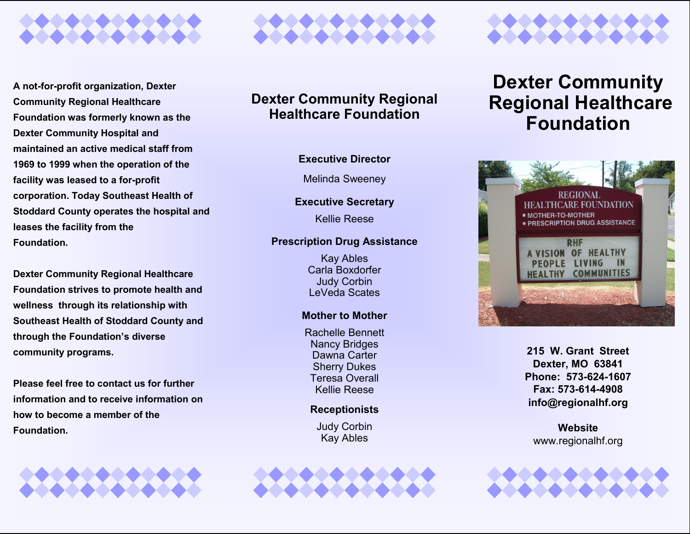

**A not-for-profit organization, Dexter Community Regional Healthcare Foundation was formerly known as the Dexter Community Hospital and maintained an active medical staff from 1969 to 1999 when the operation of the facility was leased to a for-profit corporation. Today Southeast Health of Stoddard County operates the hospital and leases the facility from the Foundation.**

**Dexter Community Regional Healthcare Foundation strives to promote health and wellness through its relationship with Southeast Health of Stoddard County and through the Foundation's diverse community programs.**

**Please feel free to contact us for further information and to receive information on how to become a member of the Foundation.**





### **Dexter Community Regional Healthcare Foundation**

#### **Executive Director**

Melinda Sweeney

#### **Executive Secretary**

Kellie Reese

#### **Prescription Drug Assistance**

Kay Ables Carla Boxdorfer Judy Corbin LeVeda Scates

#### **Mother to Mother**

Rachelle Bennett Nancy Bridges Dawna Carter Sherry Dukes Teresa Overall Kellie Reese

#### **Receptionists**

Judy Corbin Kay Ables





## **Dexter Community Regional Healthcare Foundation**



**215 W. Grant Street Dexter, MO 63841 Phone: 573-624-1607 Fax: 573-614-4908 info@regionalhf.org**

**Website** www.regionalhf.org